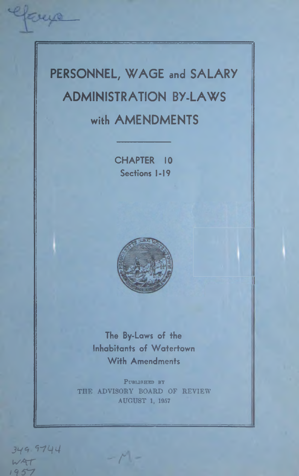# **PERSONNEL, WAGE and SALARY ADMINISTRATION BY-LAWS with AMENDMENTS**

**CHAPTER 10 Sections 1-19**



**The By-Laws of the Inhabitants of Watertown With Amendments**

PUBLISHED BY THE ADVISORY BOARD OF REVIEW AUGUST 1, 1957

*- r*

*l y c , .* 97L/4  $WAT$  $195$ 

Gays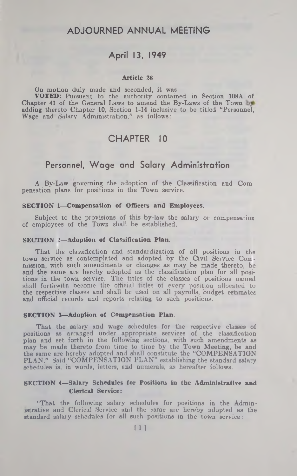## **ADJOURNED ANNUAL MEETING**

# **April 13, 1949**

#### Article 26

On motion duly made and seconded, it was VOTED: Pursuant to the authority contained in Section 108A of Chapter 41 of the General Laws to amend the By-Laws of the Town by adding thereto Chapter 10, Section 1-14 inclusive to be titled "Personnel, Wage and Salary Administration," as follows:

# **CHAPTER 10**

# **Personnel, W age and Salary Administration**

A By-Law governing the adoption of the Classification and Com pensation plans for positions in the Town service.

#### SECTION 1—Compensation of Officers and Employees.

Subject to the provisions of this by-law the salary or compensation of employees of the Town shall be established.

#### SECTION 2—Adoption of Classification Plan.

That the classification and standardization of all positions in the town service as contemplated and adopted by the Civil Service Commission, with such amendments or changes as may be made thereto, be and the same are hereby adopted as the classification plan for all positions in the town service. The titles of the classes of positions named shall forthwith become the official titles of every position allocated to the respective classes and shall be used on all payrolls, budget estimates and official records and reports relating to such positions.

#### SECTION 3—Adoption of Compensation Plan.

That the salary and wage schedules for the respective classes of positions as arranged under appropriate services of the classification plan and set forth in the following sections, with such amendments as may be made thereto from time to time by the Town Meeting, be and the same are hereby adopted and shall constitute the "COMPENSATION PLAN." Said "COMPENSATION PLAN" establishing the standard salary schedules is, in words, letters, and numerals, as hereafter follows.

#### SECTION 4—Salary Schedules for Positions in the Administrative and Clerical Service:

"That the following salary schedules for positions in the Administrative and Clerical Service and the same are hereby ndopted as the standard salary schedules for all such positions in the town service: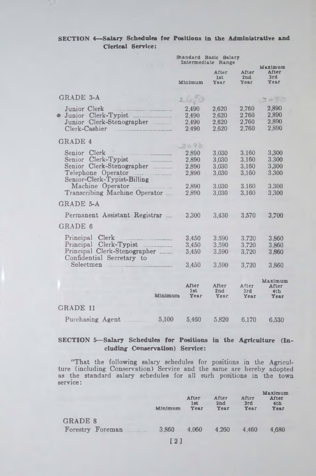## SECTION 4—Salary Schedules (or Positions in the Administrative and Clerical Service:

|                                                                                                             | Standard Basic Balary<br>Intermediate Range |                                  |                                  |                                             |  |
|-------------------------------------------------------------------------------------------------------------|---------------------------------------------|----------------------------------|----------------------------------|---------------------------------------------|--|
|                                                                                                             | Minimum                                     | After<br>1st<br>Year             | <b>After</b><br>2nd<br>Year      | Maximum<br>After<br>3rd<br>Year             |  |
| <b>GRADE 3-A</b>                                                                                            | 2470                                        |                                  |                                  | 30-3                                        |  |
| Junior Clerk<br>Junior Clerk-Typist<br>۵<br>Junior Clerk-Stenographer<br>Clerk-Cashier                      | 2,490<br>2,490<br>2.490<br>2.490            | 2,620<br>2.620<br>2,620<br>2,620 | 2.760<br>2.760<br>2,760<br>2.760 | 2,890<br>2,890<br>2,890<br>2.890            |  |
| <b>GRADE 4</b>                                                                                              | 2090                                        |                                  |                                  |                                             |  |
| Senior Clerk<br>$Clerk-Typist$<br>Senior<br>Senior Clerk-Stenographer<br>Senior-Clerk-Typist-Billing        | 2,890<br>2,890<br>2.890<br>2.890            | 3.030<br>3,030<br>3.030<br>3.030 | 3.160<br>3.160<br>3,160<br>3,160 | 3,300<br>3.300<br>3,300<br>3.300            |  |
| Machine Operator<br>Transcribing Machine Operator                                                           | 2,890<br>2,890                              | 3.030<br>3,030                   | 3.160<br>3,160                   | 3,300<br>3,300                              |  |
| GRADE 5-A                                                                                                   |                                             |                                  |                                  |                                             |  |
| Permanent Assistant Registrar                                                                               | 3,300                                       | 3,430                            | 3,570                            | 3,700                                       |  |
| GRADE 6                                                                                                     |                                             |                                  |                                  |                                             |  |
| Principal Clerk<br>.<br>Principal Clerk-Typist<br>Principal Clerk-Stenographer<br>Confidential Secretary to | 3,450<br>3,450<br>3,450                     | 3,590<br>3.590<br>3,590          | 3,720<br>3.720<br>3.720          | 3.860<br>3.860<br>3.860                     |  |
| $\operatorname{Selectmen}$<br>and the components of the components                                          | 3,450                                       | 3,590                            | 3,720                            | 3.860                                       |  |
| Minimura                                                                                                    | After<br>1st<br>Year                        | After<br>2nd<br>Year             | After<br>3rd<br>Year             | Maximum<br>After<br>4 <sub>th</sub><br>Year |  |
| <b>GRADE 11</b>                                                                                             |                                             |                                  |                                  |                                             |  |
| Purchasing Agent<br>5,100                                                                                   | 5,460                                       | 5,820                            | 6.170                            | 6,530                                       |  |

## SECTION 5-Salary Schedules for Positions in the Agriculture (Including Conservation) Service:

"That the following salary schedules for positions in the Agriculture (including Conservation) Service and the same are hereby adopted as the standard salary schedules for all such positions in the town service:

|                                    | Minimum                                         | After<br>1st<br>Year | After<br>2nd<br>Year | After<br>3rd<br>Year | Maximum<br>After<br>4 <sub>th</sub><br>Year |
|------------------------------------|-------------------------------------------------|----------------------|----------------------|----------------------|---------------------------------------------|
| <b>GRADE 8</b><br>Forestry Foreman | 3.860                                           | 4.060                | 4.260                | 4.460                | 4.680                                       |
|                                    | the contract of the contract of the contract of |                      |                      |                      |                                             |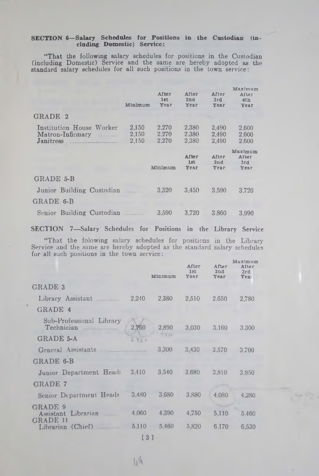#### SECTION 6—Salary Schedules for Positions in the Custodian (including Domestic) Service:

"That the following salary schedules for positions in the Custodian (including Domestic) Service and the same are hereby adopted as the standard salary schedules for all such positions in the town service:

|                                                           | Minimum                 | After<br>1st<br>Year    | After<br>2nd<br>Year    | After<br>3rd<br>Year    | Maximum<br>After<br>4th<br>Year        |
|-----------------------------------------------------------|-------------------------|-------------------------|-------------------------|-------------------------|----------------------------------------|
| GRADE 2                                                   |                         |                         |                         |                         |                                        |
| Institution House Worker<br>Matron-Infirmary<br>Janitress | 2,150<br>2.150<br>2.150 | 2,270<br>2.270<br>2.270 | 2.380<br>2.380<br>2,380 | 2.490<br>2,490<br>2.490 | 2.600<br>2.600<br>2.600                |
|                                                           |                         | Minimum                 | After<br>1st<br>Year    | After<br>2nd<br>Year    | Maximum<br><b>After</b><br>3rd<br>Year |
| GRADE 5-B                                                 |                         |                         |                         |                         |                                        |
| Junior Building Custodian                                 |                         | 3.320                   | 3.450                   | 3.590                   | 3.720                                  |
| GRADE 6-B                                                 |                         |                         |                         |                         |                                        |
| Senior Building Custodian                                 |                         | 3,590                   | 3.720                   | 3.860                   | 3.990                                  |

SECTION 7—Salary Schedules for Positions in the Library Service

"That the folowing salary schedules for positions in the Library Service and the same are hereby adopted as the standard salary schedules for all such positions in the town service:

|                                                      |       | Minimum | After<br>1st<br>Year | After<br>2nd<br><b>Year</b> | Maximum<br>After<br>3rd<br>Yes |
|------------------------------------------------------|-------|---------|----------------------|-----------------------------|--------------------------------|
| <b>GRADE 3</b>                                       |       |         |                      |                             |                                |
| Library Assistant                                    | 2,240 | 2,380   | 2,510                | 2.650                       | 2,780                          |
| GRADE 4                                              |       |         |                      |                             |                                |
| Sub-Professional Library<br>Technician               | 2.760 | 2.890   | 3.030                | 3.160                       | 3.300                          |
| <b>GRADE 5-A</b>                                     | 276.0 |         |                      |                             |                                |
| General Assistants                                   |       | 3,300   | 3,430                | 3.570                       | 3.700                          |
| GRADE 6-B                                            |       |         |                      |                             |                                |
| Junior Department Heads 3,410                        |       | 3,540   | 3.680                | 3.810                       | 3.950                          |
| <b>GRADE 7</b>                                       |       |         |                      |                             |                                |
| Senior Department Heads                              | 3.480 | 3,680   | 3,880                | 4.080                       | 4.280                          |
| GRADE 9<br>Librarian<br>Assistant<br><b>GRADE 11</b> | 4.060 | 4,390   | 4,750                | 5,110                       | 5.460                          |
| Librarian (Chief)                                    | 5,110 | 5.460   | 5.820                | 6.170                       | 6,530                          |
|                                                      |       |         |                      |                             |                                |

131

 $\mathcal{U}(\mathbf{I})$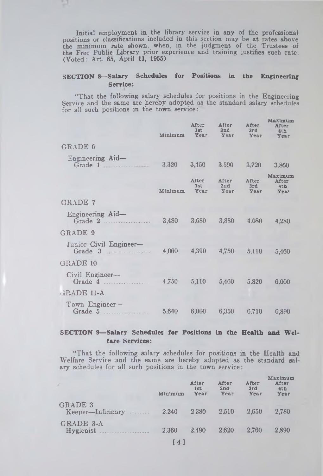Initial employment in the library service in any of the professional positions or classifications included in this section may be at rates above the minimum rate shown, when, in the judgment of the Trustees of the Free Public Library prior experience and training justifies such rate. (Voted: Art. 65, April 11, 1955)

## SECTION 8— Salary Schedules for Positions in the Engineering Service:

"That the following salary schedules for positions in the Engineering Service and the same are hereby adopted as the standard salary schedules for all such positions in the town service:

|                                                        | Minimum | After<br>1st | After<br>2nd<br>Year Year       | After<br>3rd<br>Year | Maximum<br>After<br>4th<br>Year |
|--------------------------------------------------------|---------|--------------|---------------------------------|----------------------|---------------------------------|
| <b>GRADE 6</b>                                         |         |              |                                 |                      |                                 |
| Engineering Aid-<br>Grade $1$                          |         |              | 3,320 3,450 3,590               | 3,720                | 3,860                           |
|                                                        | Minimum | 1st          | After After<br>2nd<br>Year Year | After<br>3rd<br>Year | Maximum<br>After<br>4th<br>Year |
| <b>GRADE 7</b>                                         |         |              |                                 |                      |                                 |
| Engineering Aid-                                       |         |              | 3,480 3,680 3,880 4,080         |                      | 4,280                           |
| GRADE 9                                                |         |              |                                 |                      |                                 |
| Junior Civil Engineer-<br>Grade $3$                    |         |              | 4,060 4.390 4,750 5,110         |                      | 5,460                           |
| GRADE 10                                               |         |              |                                 |                      |                                 |
| Civil Engineer-                                        |         |              |                                 |                      | 6.000                           |
| GRADE 11-A                                             |         |              |                                 |                      |                                 |
| Town Engineer-<br>Grade 5 (100 5.640 6.000 6.350 6.710 |         |              |                                 |                      | 6.890                           |

## SECTION 9-Salary Schedules for Positions in the Health and Weifare Services:

"That the following salary schedules for positions in the Health and Welfare Service and the same are hereby adopted as the standard sal ary schedules for all such positions in the town service:

|                                    | Minimum | After<br>1st<br>Year | After<br>2nd<br>Year | After<br>3rd<br>Year | Maximum<br>After<br>4th<br>Year |
|------------------------------------|---------|----------------------|----------------------|----------------------|---------------------------------|
| <b>GRADE 3</b><br>Keeper-Infirmary | 2.240   | 2,380                | 2.510                | 2.650                | 2.780                           |
| GRADE 3-A<br>Hygienist             | 2.360   | 2.490                | 2.620                | 2.760                | 2.890                           |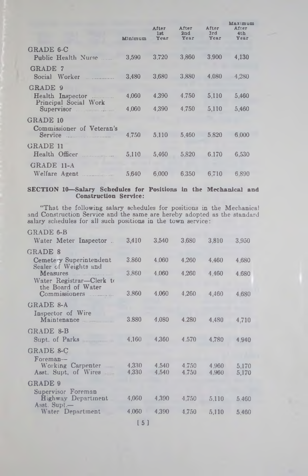|                                     |         |                      |                      |                      | Maximum                          |  |  |
|-------------------------------------|---------|----------------------|----------------------|----------------------|----------------------------------|--|--|
|                                     | Minimum | After<br>1st<br>Year | After<br>2nd<br>Year | After<br>3rd<br>Year | After<br>4 <sub>th</sub><br>Year |  |  |
| GRADE 6-C                           |         |                      |                      |                      |                                  |  |  |
| Public Health Nurse                 | 3.590   | 3.720                | 3,860                | 3.900                | 4,130                            |  |  |
| <b>GRADE 7</b>                      |         |                      |                      |                      |                                  |  |  |
| Social Worker<br>.                  | 3.480   | 3.680                | 3,880                | 4,080                | 4.280                            |  |  |
| GRADE 9                             |         |                      |                      |                      |                                  |  |  |
| Health Inspector                    | 4,060   | 4.390                | 4.750                | 5,110                | 5,460                            |  |  |
| Principal Social Work<br>Supervisor | 4.060   | 4.390                | 4.750                | 5.110                | 5.460                            |  |  |
| GRADE 10                            |         |                      |                      |                      |                                  |  |  |
| Commissioner of Veteran's           |         |                      |                      |                      |                                  |  |  |
|                                     | 4.750   | 5.110                | 5,460                | 5.820                | 6.000                            |  |  |
| <b>GRADE 11</b>                     |         |                      |                      |                      |                                  |  |  |
| Health Officer                      | 5.110   | 5.460                | 5.820                | 6.170                | 6.530                            |  |  |
| GRADE 11-A                          |         |                      |                      |                      |                                  |  |  |
|                                     | 5.640   | 6.000                | 6.350                | 6.710                | 6.890                            |  |  |

#### SECTION 10—Salary Schedules for Positions in the Mechanical and Construction Service:

"That the following salary schedules for positions in the Mechanical and Construction Service and the same are hereby adopted as the standard salary schedules for all such positions in the town service:

| GRADE 6-B                                        |                 |                |                |                |                |
|--------------------------------------------------|-----------------|----------------|----------------|----------------|----------------|
| Water Meter Inspector                            | 3,410           | 3,540          | 3,680          | 3,810          | 3,950          |
| GRADE 8                                          |                 |                |                |                |                |
| Cemetery Superintendent<br>Sealer of Weights and | 3.860           | 4.060          | 4.260          | 4.460          | 4,680          |
|                                                  | 3,860           | 4.060          | 4.260          | 4.460          | 4.680          |
| Water Registrar-Clerk to<br>the Board of Water   |                 |                |                |                |                |
| Commissioners                                    | 3,860           | 4,060          | 4,260          | 4,460          | 4 6 8 0        |
| <b>GRADE 8-A</b>                                 |                 |                |                |                |                |
| Inspector of Wire<br>Maintenance                 | 3,880           | 4.080          | 4,280          | 4,480          |                |
|                                                  |                 |                |                |                | 4,710          |
| GRADE 8-B                                        |                 |                |                |                |                |
| Supt. of Parks                                   | 4,160           | 4,360          | 4.570          | 4.780          | 4.940          |
| GRADE 8-C                                        |                 |                |                |                |                |
| Foreman-                                         |                 |                |                |                |                |
| Working Carpenter<br>-<br>Asst. Supt. of Wires   | 4,330<br>4.330  | 4.540<br>4.540 | 4.750<br>4.750 | 4,960<br>4.960 | 5.170<br>5,170 |
|                                                  |                 |                |                |                |                |
| <b>GRADE 9</b>                                   |                 |                |                |                |                |
| Supervisor Foreman<br><b>Highway Department</b>  | 4,060           | 4,390          | 4,750          | 5,110          | 5,460          |
| $\text{A}$ sst. Supt.—                           |                 |                |                |                |                |
| Water Department                                 | 4.060           | 4,390          | 4,750          | 5,110          | 5,460          |
|                                                  | <b>P. A. T.</b> |                |                |                |                |

15]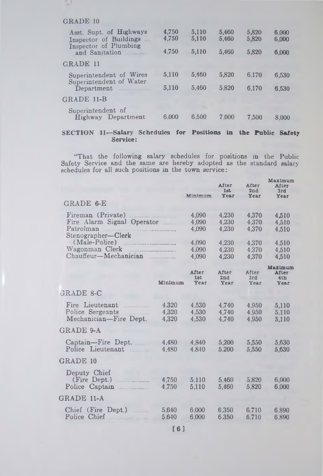## GRADE 10

| Asst. Supt. of Highways<br>Inspector of Buildings<br>Inspector of Plumbing<br>and Sanitation | 4,750<br>4,750<br>4.750 | 5,110<br>5,110<br>5,110 | 5,460<br>5,460<br>5.460 | 5,820<br>5.820<br>5.820 | 6.000<br>6.000<br>6,000 |
|----------------------------------------------------------------------------------------------|-------------------------|-------------------------|-------------------------|-------------------------|-------------------------|
| <b>GRADE 11</b>                                                                              |                         |                         |                         |                         |                         |
| Superintendent of Wires                                                                      | 5,110                   | 5,460                   | 5,820                   | 6.170                   | 6,530                   |
| Superintendent of Water<br>Department                                                        | 5.110                   | 5,460                   | 5.820                   | 6.170                   | 6.530                   |
| GRADE 11-B                                                                                   |                         |                         |                         |                         |                         |
| Superintendent of<br>Highway Department                                                      | 6.000                   | 6.500                   | 7.000                   | 7.500                   | 8.000                   |

## SECTION 11— Salary Schedules for Positions in **the** Public **Safety** Service:

"That the following salary schedules for positions in the Public Safety Service and the same are hereby adopted as the standard salary schedules for all such positions in the town service:

|                                                                                         |                         | Minimum                     | After<br>1st<br>Year    | After<br>2nd<br>Year    | Maximum<br>After<br>3rd<br>Year        |
|-----------------------------------------------------------------------------------------|-------------------------|-----------------------------|-------------------------|-------------------------|----------------------------------------|
| GRADE 6-E                                                                               |                         |                             |                         |                         |                                        |
| Fireman (Private)<br>Fire Alarm Signal Operator<br>Patrolman<br>.<br>Stenographer-Clerk |                         | 4,090<br>4.090<br>4,090     | 4.230<br>4.230<br>4.230 | 4,370<br>4.370<br>4.370 | 4,510<br>4,510<br>4.510                |
| (Male-Police)<br>Wagonman Clerk<br>Chauffeur-Mechanician                                |                         | 4.090<br>4.090<br>4,090     | 4.230<br>4.230<br>4.230 | 4.370<br>4.370<br>4,370 | 4.510<br>4,510<br>4,510                |
|                                                                                         | Minimum                 | <b>After</b><br>1st<br>Year | After<br>2nd<br>Year    | After<br>3rd<br>Year    | Maximum<br><b>After</b><br>4th<br>Year |
| GRADE 8-C                                                                               |                         |                             |                         |                         |                                        |
| Fire Lieutenant<br>Police Sergeants<br>Mechanician-Fire Dept.                           | 4.320<br>4.320<br>4.320 | 4.530<br>4,530<br>4,530     | 4.740<br>4.740<br>4.740 | 4.950<br>4.950<br>4.950 | 5,110<br>5.110<br>5.110                |
| <b>GRADE 9-A</b>                                                                        |                         |                             |                         |                         |                                        |
| Captain-Fire Dept.<br>1.1.1.1.1.1<br>Police Lieutenant                                  | 4.480<br>4.480          | 4,840<br>4.840              | 5.200<br>5.200          | 5.550<br>5,550          | 5,630<br>5,630                         |
| <b>GRADE 10</b>                                                                         |                         |                             |                         |                         |                                        |
| Deputy Chief<br>(Fire Dept.)<br>Police Captain                                          | 4,750<br>4.750          | 5.110<br>5,110              | 5.460<br>5,460          | 5.820<br>5,820          | 6,000<br>6,000                         |
| GRADE 11-A                                                                              |                         |                             |                         |                         |                                        |
| Chief (Fire Dept.)<br>.<br>Police Chief                                                 | 5.640<br>5.640          | 6.000<br>6.000              | 6.350<br>6.350          | 6.710<br>6.710          | 6.890<br>6.890                         |
|                                                                                         |                         |                             |                         |                         |                                        |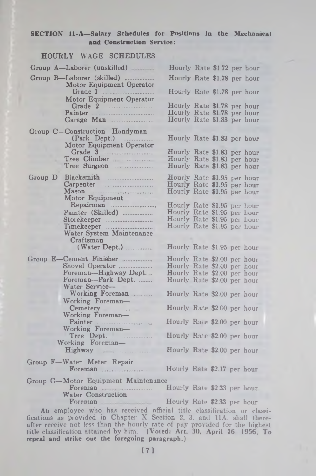#### SECTION Il-A—Salary Schedules for Positions in the Mechanical and Construction Service:

| <b>HOURLY WAGE SCHEDULES</b>                          |                                                            |  |  |
|-------------------------------------------------------|------------------------------------------------------------|--|--|
| Group A-Laborer (unskilled)                           | Hourly Rate \$1.72 per hour                                |  |  |
| Group B-Laborer (skilled)<br>Motor Equipment Operator | Hourly Rate \$1.78 per hour                                |  |  |
| Grade 1<br>Motor Equipment Operator                   | Hourly Rate \$1.78 per hour                                |  |  |
|                                                       | Hourly Rate \$1.78 per hour                                |  |  |
| Painter                                               | Hourly Rate \$1.78 per hour                                |  |  |
| Garage Man                                            | Hourly Rate \$1.83 per hour                                |  |  |
| Group C-Construction Handyman                         |                                                            |  |  |
| (Park Dept.)<br>Motor Equipment Operator              | Hourly Rate \$1.83 per hour                                |  |  |
| Grade 3                                               | Hourly Rate \$1.83 per hour                                |  |  |
| Tree Climber<br>Tree Surgeon                          | Hourly Rate \$1.83 per hour<br>Hourly Rate \$1.83 per hour |  |  |
|                                                       |                                                            |  |  |
| Group D-Blacksmith                                    | Hourly Rate \$1.95 per hour                                |  |  |
|                                                       | Hourly Rate \$1.95 per hour<br>Hourly Rate \$1.95 per hour |  |  |
| Motor Equipment                                       |                                                            |  |  |
|                                                       | Hourly Rate \$1.95 per hour                                |  |  |
| Painter (Skilled)                                     | Hourly Rate \$1.95 per hour                                |  |  |
| Storekeeper                                           | Hourly Rate \$1.95 per hour<br>Hourly Rate \$1.95 per hour |  |  |
| Timekeeper<br>Water System Maintenance                |                                                            |  |  |
| Craftsman                                             |                                                            |  |  |
|                                                       | Hourly Rate \$1.95 per hour                                |  |  |
| Group E-Cement Finisher                               | Hourly Rate \$2.00 per hour                                |  |  |
| Shovel Operator                                       | Hourly Rate \$2.00 per hour                                |  |  |
| Foreman-Highway Dept                                  | Hourly Rate \$2.00 per hour                                |  |  |
| Foreman-Park Dept.<br>Water Service-                  | Hourly Rate \$2.00 per hour                                |  |  |
| Working Foreman<br>Working Foreman-                   | Hourly Rate \$2.00 per hour                                |  |  |
| Cemetery <b>Example</b><br>Working Foreman-           | Hourly Rate \$2.00 per hour                                |  |  |
| Painter<br>Working Foreman-                           | Hourly Rate \$2.00 per hour                                |  |  |
| Tree Dept.<br>Working Foreman-                        | Hourly Rate \$2.00 per hour                                |  |  |
| Highway <b>Expanding Strategies</b>                   | Hourly Rate \$2.00 per hour                                |  |  |
| Group F-Water Meter Repair                            | Hourly Rate \$2.17 per hour                                |  |  |
| Group G-Motor Equipment Maintenance                   |                                                            |  |  |
| Foreman <b>Example 2018</b><br>Water Construction     | Hourly Rate \$2.33 per hour                                |  |  |
| Foreman                                               | Hourly Rate \$2.33 per hour                                |  |  |
|                                                       |                                                            |  |  |

An employee who has received official title classification or classifications as provided in Chapter X Section 2, 3, and 11A, shall thereafter receive not less than the hourly rate of pay provided for the highest title classification attained by him. **(Voted: Art. 30, April 16, 1956. To repeal and strike out the foregoing paragraph.)**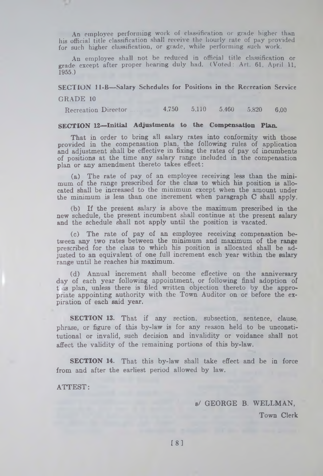An employee performing work of classification or grade higher than his official title classification shall receive the hourly rate of pay provided for such higher classification, or grade, while performing sueh work.

An employee shall not be reduced in official title classification or grade except after proper hearing duly had. (Voted: Art. 61, April 11, 1955.)

# **SECTION 11-B— Salary Schedules for Positions in the Recreation Service**

#### GRADE 10

Recreation Director 4,750 5,110 5.460 5.820 6,00

## SECTION 12—Initial Adjustments to the Compensation Plan.

That in order to bring all salary rates into conformity with those provided in the compensation plan, the following rules of application and adjustment shall be effective in fixing the rates of pay of incumbents of positions at the time any salary range included in the compensation plan or any amendment thereto takes effect:

(a) The rate of pay of an employee receiving less than the minimum of the range prescribed for the class to which his position is allocated shall be increased to the minimum except when the amount under the minimum is less than one increment when paragraph C shall apply.

(b) If the present salary is above the maximum prescribed in the new schedule, the present incumbent shall continue at the present salary and the schedule shall not apply until the position is vacated.

(c) The rate of pay of an employee receiving compensation between any two rates between the minimum and maximum of the range prescribed for the class to which his position is allocated shall be adjusted to an equivalent of one full increment each year within the salary range until he reaches his maximum.

(d) Annual increment shall become effective on the anniversary day of each year following appointment, or following final adoption of t us plan, unless there is filed written objection thereto by the appropriate appointing authority with the Town Auditor on or before the expiration of each said year.

SECTION 13. That if any section, subsection, sentence, clause phrase, or figure of this by-law is for any reason held to be unconstitutional or invalid, such decision and invalidity or voidance shall not affect the validity of the remaining portions of this by-law.

SECTION 14. That this by-law shall take effect and be in force from and after the earliest period allowed by law.

ATTEST:

s/ GEORGE B. WELLMAN,

Town Clerk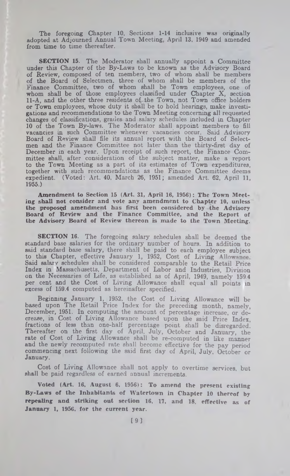The foregoing Chapter 10, Sections 1-14 inclusive was originally adopted at Adjourned Annual Town Meeting, April 13, 1949 and amended from time to time thereafter.

SECTION 15. The Moderator shall annually appoint a Committee under this Chapter of the By-Laws to be known as the Advisory Board of Review, composed of ten members, two of whom shall be members of the Board of Selectmen, three of whom shall be members of the Finance Committee, two of whom shall be Town employees, one of whom shall be of those employees classified under Chapter X, section 11-A, and the other three residents of the Town, not Town office holders or Town employees, whose duty it shall be to hold hearings, make investigations and recommendations to the Town Meeting concerning all requested changes of classifications, grades and salary schedules included in Chapter 10 of the Town By-laws. The Moderator shall appoint members to fill vacancies in such Committee whenever vacancies occur. Said Advisory Board of Review shall file its annual report with the Board of Selectmen and the Finance Committee not later than the thirty-first day of December in each year. Upon receipt of such report, the Finance Committee shall, after consideration of the subject matter, make a report to the Town Meeting as a part of its estimates of Town expenditures, together with such recommendations as the Finance Committee deems expedient. (Voted: Art. 40, March 26, 1951; amended Art. 62, April 11, 1955.)

Amendment to Section 15 (Art. 31, April 16, 1956): The Town Meeting shall not consider and vote any amendment to Chapter 10, unless the proposed amendment has first been considered by the Advisory Board of Review and the Finance Committee, and the Report of the Advisory Board of Review thereon is made to the Town Meeting.

**SECTION 16.** The foregoing salary schedules shall be deemed the standard base salaries for the ordinary number of hours. In addition to said standard base salary, there shall be paid to each employee subject to this Chapter, effective January 1, 1952, Cost of Living Allowance Said salary schedules shall be considered comparable to the Retail Price Index in Massachusetts, Department of Labor and Industries, Division on the Necessaries of Life, as established as of April, 1949, namely 159.4 per cent and the Cost of Living Allowance shall equal all points in excess of 159.4 computed as hereinafter specified.

Beginning January 1, 1952, the Cost of Living Allowance will be based upon The Retail Price Index for the preceding month, namely, December, 1951. In computing the amount of percentage increase, or decrease, in Cost of Living Allowance based upon the said Price Index, fractions of less than one-half percentage point shall be disregarded. Thereafter on the first day of April, July, October and January, the rate of Cost of Living Allowance shall be re-computed in like manner and the newly recomputed rate shall become effective for the pay period commencing next following the said first day of April, July. October or January.

Cost of Living Allowance shall not apply to overtime services, but shall be paid regardless of earned annual increments.

Voted (Art. 16, August 6, 1956): To amend the present existing By-Laws of the Inhabitants of Watertown in Chapter 10 thereof by repealing and striking out section 16, 17, and 18, effective as of January 1, 1956, for the current year.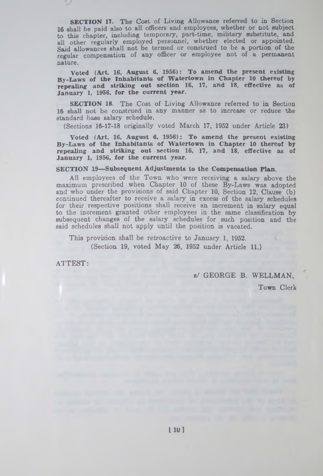SECTION 17. The Cost of Living Allowance referred to in Section 16 shall be paid also to all officers and employees, whether or not subject to this chapter, including temporary, part-time, military substitute, and all other regularly employed personnel, whether elected or appointed. Said allowances shall not be termed or construed to be a portion of the regular compensation of any officer or employee not of a permanent nature.

Voted (Art. 16, August 6, 1956): To amend the present existing By-Laws of the Inhabitants of Watertown in Chapter 10 thereof by repealing and striking out section 16, 17, and 18, effective as of January 1, 1956, for the current year.

SECTION 18. The Cost of Living Allowance referred to in Section 16 shall not be construed in any manner as to increase or reduce the standard base salary schedule.

(Sections 16-17-18 originally voted March 17, 1952 under Article 23)

Voted (Art. 16, August 6, 1956): To amend the present existing By-Laws of the Inhabitants of Watertown in Chapter 10 thereof by repealing and striking out section 16, 17, and 18, effective as of January 1, 1956, for the current year.

## SECTION 19— Subsequent Adjustments to the Compensation Plan.

All employees of the Town who were receiving a salary above the maximum prescribed when Chapter 10 of these By-Laws was adopted and who under the provisions of said Chapter 10, Section 12, Clause (b) continued thereafter to receive a salary in excess of the salary schedules for their respective positions shall receive an increment in salary equal to the increment granted other employees in the same classification by subsequent changes of the salary schedules for such position and the said schedules shall not apply until the position is vacated.

This provision shall be retroactive to January 1, 1952. (Section 19, voted May 26, 1952 under Article 11.)

ATTEST:

υ

s/ GEORGE B. WELLMAN,<br>s/ GEORGE B. WELLMAN,<br>Town Clerk Town Clerk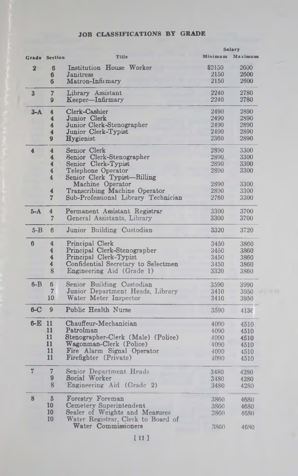|                |                         |                                     |              | <b>Salary</b>   |
|----------------|-------------------------|-------------------------------------|--------------|-----------------|
| Grade          | Section                 | Title                               |              | Minimum Maximum |
| $\overline{2}$ | $6\phantom{1}$          | Institution House Worker            | \$2150       | 2600            |
|                | 6                       | Janitress                           | 2150         | 2600            |
|                | 6                       | Matron-Infirmary                    | 2150         | 2600            |
| 3              | $\overline{7}$          | Library Assistant                   | 2240         | 2780            |
|                | 9                       | Keeper-Infirmary                    | 2240         | 2780            |
| $3-A$          | 4                       | Clerk-Cashier                       | 2490         | 2890            |
|                | $\overline{\mathbf{4}}$ | Junior Clerk                        | 2490         | 2890            |
|                | 4                       | Junior Clerk-Stenographer           | 2490         | 2890            |
|                | 4                       | Junior Clerk-Typist                 | 2490         | 2890            |
|                | 9                       | <b>Hygienist</b>                    | 2360         | 2890            |
| 4              | $\overline{\mathbf{4}}$ | Senior Clerk                        | 2890         | 3300            |
|                | 4                       | Senior Clerk-Stenographer           | 2890         | 3300            |
|                | $\overline{\mathbf{4}}$ | Senior Clerk-Typist                 | 2890         | 3300            |
|                | 4                       | Telephone Operator                  | 2890         | 3300            |
|                | 4                       | Senior Clerk Typist-Billing         |              |                 |
|                |                         | Machine Operator                    | 2890         | 3300            |
|                | 4                       | Transcribing Machine Operator       | 2890         | 3300            |
|                | 7                       | Sub-Professional Library Technician | 2760         | 3300            |
| $5-A$          | $\overline{\mathbf{4}}$ | Permanent Assistant Registrar       | 3300         | 3700            |
|                | 7                       | General Assistants, Library         | 3300         | 3700            |
| $5 - B$        | 6                       | Junior Building Custodian           | 3320         | 3720            |
| 6              | 4                       | Principal Clerk                     | 3450         | 3860            |
|                | 4                       | Principal Clerk-Stenographer        | 3450         | 3860            |
|                | 4                       | Principal Clerk-Typist              | 3450         | 3860            |
|                | 4                       | Confidential Secretary to Selectmen | 3450         | 3860            |
|                | 8                       | Engineering Aid (Grade 1)           | 3320         | 3860            |
| $6 - B$        | 6                       | Senior Building Custodian           | 3590         | 3990            |
|                | 7                       | Junior Department Heads, Library    | 3410         | 3950            |
|                | 10                      | Water Meter Inspector               | 3410         | 3950            |
| $6 - C$        | 9                       | Public Health Nurse                 | 3590         | 4130            |
| $6-E$          | 11                      | Chauffeur-Mechanician               |              |                 |
|                | 11                      | Patrolman                           | 4090<br>4090 | 4510            |
|                | 11                      | Stenographer-Clerk (Male) (Police)  | 4090         | 4510<br>4510    |
|                | 11                      | Wagonman-Clerk (Police)             | 4090         | 4510            |
|                | 11                      | Fire Alarm Signal Operator          | 4090         | 4510            |
|                | 11                      | <b>Firefighter</b> (Private)        | 4090         | 4510            |
|                |                         |                                     |              |                 |
| $\overline{7}$ | $\overline{7}$          | Senior Department Heads             | 3480         | 4280            |
|                | 9                       | Social Worker                       | 3480         | 4280            |
|                | 8                       | <b>Engineering Aid (Grade 2)</b>    | 3480         | 4280            |
| 8              | 5                       | Forestry Foreman                    | 3860         | 4680            |
|                | 10                      | Cemetery Superintendent             | 3860         | 4680            |
|                | 10                      | Sealer of Weights and Measures      | 3860         | 4680            |
|                | 10                      | Water Registrar, Clerk to Board of  |              |                 |
|                |                         | Water Commissioners                 | 3860         | 4680            |

## JOB CLASSIFICATIONS BY GRADE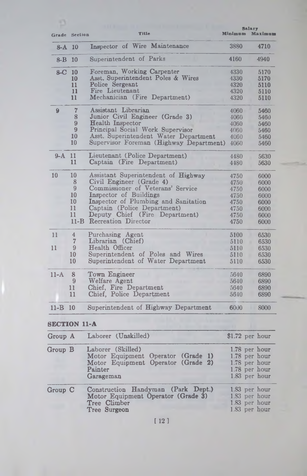|          |                      | Title                                   | <b>Salary</b><br>Minimum<br>Maximum |      |
|----------|----------------------|-----------------------------------------|-------------------------------------|------|
|          | <b>Grade</b> Section |                                         |                                     |      |
| 8-A 10   |                      | Inspector of Wire Maintenance           | 3880                                | 4710 |
| $8 - B$  | 10                   | Superintendent of Parks                 | 4160                                | 4940 |
| $8-C$    | -10                  | Foreman, Working Carpenter              | 4330                                | 5170 |
|          | 10                   | Asst. Superintendent Poles & Wires      | 4330                                | 5170 |
|          | 11                   | Police Sergeant                         | 4320                                | 5110 |
|          | 11                   | Fire Lieutenant                         | 4320                                | 5110 |
|          | 11                   | Mechanician (Fire Department)           | 4320                                | 5110 |
| 9        | 7                    | Assistant Librarian                     | 4060                                | 5460 |
|          | 8                    | Junior Civil Engineer (Grade 3)         | 4060                                | 5460 |
|          | 9                    | <b>Health Inspector</b>                 | 4060                                | 5460 |
|          | 9                    | Principal Social Work Supervisor        | 4060                                | 5460 |
|          | 10                   | Asst. Superintendent Water Department   | 4060                                | 5460 |
|          | 10                   | Supervisor Foreman (Highway Department) | 4060                                | 5460 |
| $9-A$    | 11                   | Lieutenant (Police Department)          | 4480                                | 5630 |
|          | 11                   | Captain (Fire Department)               | 4480                                | 5630 |
| 10       | 10                   | Assistant Superintendent of Highway     | 4750                                | 6000 |
|          | 8                    | Civil Engineer (Grade 4)                | 4750                                | 6000 |
|          | 9                    | Commissioner of Veterans' Service       | 4750                                | 6000 |
|          | 10                   | Inspector of Buildings                  | 4750                                | 6000 |
|          | 10                   | Inspector of Plumbing and Sanitation    | 4750                                | 6000 |
|          | 11                   | Captain (Police Department)             | 4750                                | 6000 |
|          | 11                   | Deputy Chief (Fire Department)          | 4750                                | 6000 |
|          | $11-B$               | <b>Recreation</b> Director              | 4750                                | 6000 |
| 11       | $\overline{4}$       | Purchasing Agent                        | 5100                                | 6530 |
|          | $\overline{7}$       | Librarian (Chief)                       | 5110                                | 6530 |
| 11       | 9                    | Health Officer                          | 5110                                | 6530 |
|          | 10                   | Superintendent of Poles and Wires       | 5110                                | 6530 |
|          | 10                   | Superintendent of Water Department      | 5110                                | 6530 |
| $11-A$   | 8                    | Town Engineer                           | 5640                                | 6890 |
|          | 9                    | Welfare Agent                           | 5640                                | 6890 |
|          | 11                   | Chief, Fire Department                  | 5640                                | 6890 |
|          | 11                   | Chief, Police Department                | 5640                                | 6890 |
| $11 - B$ | 10                   | Superintendent of Highway Department    | 6000                                | 8000 |
|          |                      |                                         |                                     |      |

# **SECTION 11-A**

| Group A                   | Laborer (Unskilled)                                                                                                   | $$1.72$ per hour                                                                  |
|---------------------------|-----------------------------------------------------------------------------------------------------------------------|-----------------------------------------------------------------------------------|
| Group B                   | Laborer (Skilled)<br>Motor Equipment Operator (Grade 1)<br>Motor Equipment Operator (Grade 2)<br>Painter<br>Garageman | 1.78 per hour<br>1.78 per hour<br>1.78 per hour<br>1.78 per hour<br>1.83 per hour |
| ${\rm Group} \;\;{\rm C}$ | Construction Handyman (Park Dept.)<br>Motor Equipment Operator (Grade 3)<br>Tree Climber<br>Tree Surgeon              | 1.83 per hour<br>1.83 per hour<br>1.83 per hour<br>1.83 per hour                  |